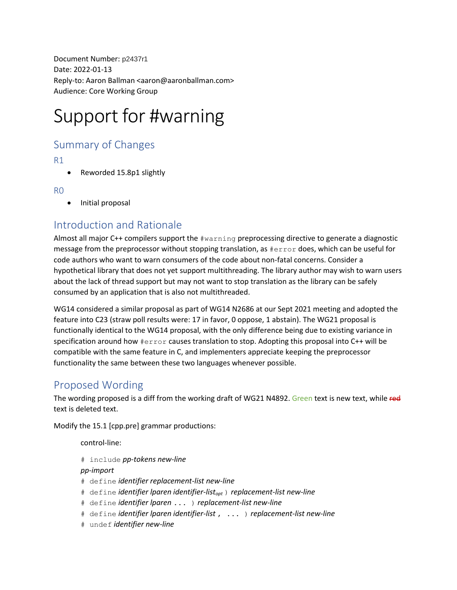Document Number: p2437r1 Date: 2022-01-13 Reply-to: Aaron Ballman <aaron@aaronballman.com> Audience: Core Working Group

# Support for #warning

## Summary of Changes

R1

• Reworded 15.8p1 slightly

R0

• Initial proposal

# Introduction and Rationale

Almost all major C++ compilers support the #warning preprocessing directive to generate a diagnostic message from the preprocessor without stopping translation, as #error does, which can be useful for code authors who want to warn consumers of the code about non-fatal concerns. Consider a hypothetical library that does not yet support multithreading. The library author may wish to warn users about the lack of thread support but may not want to stop translation as the library can be safely consumed by an application that is also not multithreaded.

WG14 considered a similar proposal as part of WG14 N2686 at our Sept 2021 meeting and adopted the feature into C23 (straw poll results were: 17 in favor, 0 oppose, 1 abstain). The WG21 proposal is functionally identical to the WG14 proposal, with the only difference being due to existing variance in specification around how #error causes translation to stop. Adopting this proposal into C++ will be compatible with the same feature in C, and implementers appreciate keeping the preprocessor functionality the same between these two languages whenever possible.

## Proposed Wording

The wording proposed is a diff from the working draft of WG21 N4892. Green text is new text, while red text is deleted text.

Modify the 15.1 [cpp.pre] grammar productions:

control-line:

# include *pp-tokens new-line*

#### *pp-import*

- # define *identifier replacement-list new-line*
- # define *identifier lparen identifier-listopt* ) *replacement-list new-line*
- # define *identifier lparen* ... ) *replacement-list new-line*
- # define *identifier lparen identifier-list* , ... ) *replacement-list new-line*
- # undef *identifier new-line*